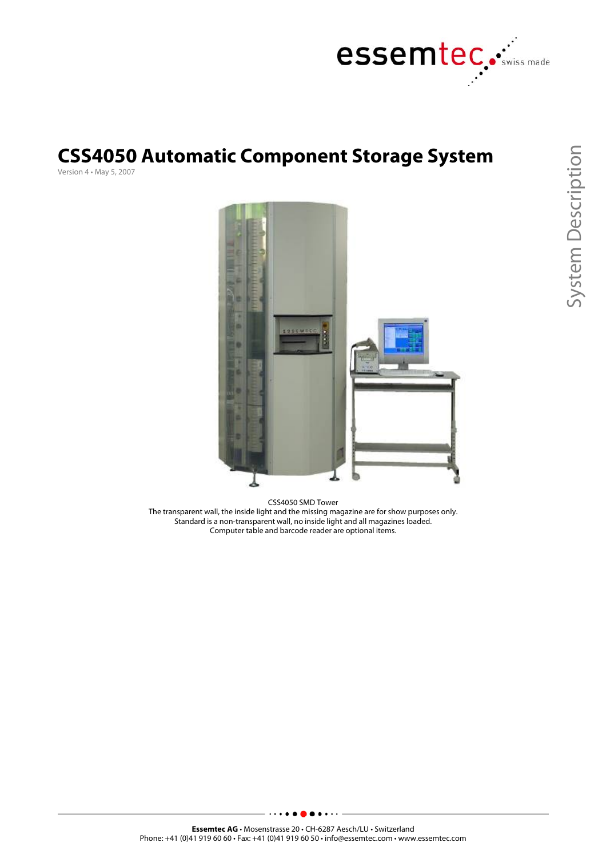

## **CSS4050 Automatic Component Storage System**

Version 4 • May 5, 2007



CSS4050 SMD Tower The transparent wall, the inside light and the missing magazine are for show purposes only. Standard is a non-transparent wall, no inside light and all magazines loaded. Computer table and barcode reader are optional items.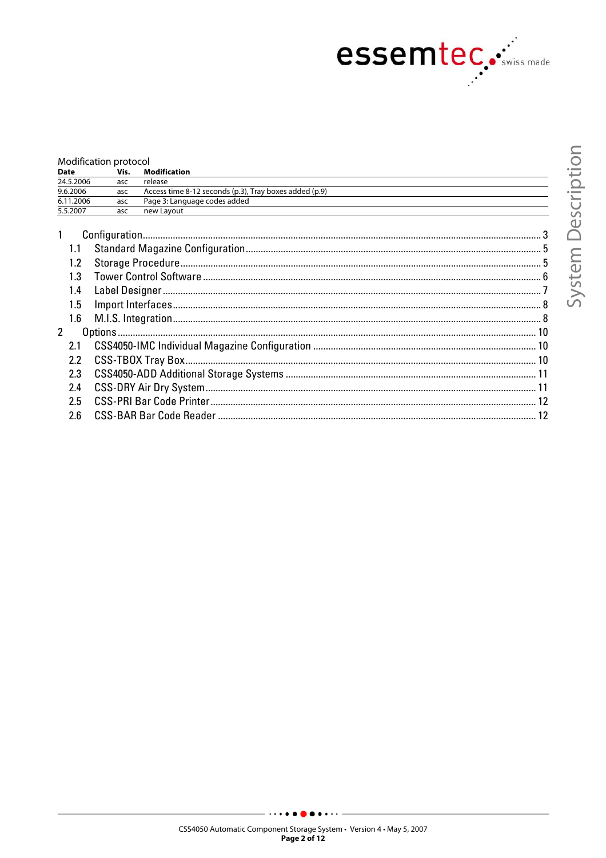

|                  | Modification protocol |                                                        |  |
|------------------|-----------------------|--------------------------------------------------------|--|
| <b>Date</b>      | Vis.                  | <b>Modification</b>                                    |  |
| 24.5.2006        | asc                   | release                                                |  |
| 9.6.2006         | asc                   | Access time 8-12 seconds (p.3), Tray boxes added (p.9) |  |
| 6.11.2006        | asc                   | Page 3: Language codes added                           |  |
| 5.5.2007         | asc                   | new Lavout                                             |  |
| $\mathbf{1}$     |                       |                                                        |  |
| 1.1              |                       |                                                        |  |
| 1.2              |                       |                                                        |  |
| 1.3              |                       |                                                        |  |
| 1.4              |                       |                                                        |  |
| 1.5              |                       |                                                        |  |
| 1.6              |                       |                                                        |  |
| $\mathcal{P}$    |                       |                                                        |  |
| 2.1              |                       |                                                        |  |
| $2.2\phantom{0}$ |                       |                                                        |  |
| 2.3              |                       |                                                        |  |
| 2.4              |                       |                                                        |  |
| 2.5              |                       |                                                        |  |
| 2.6              |                       |                                                        |  |

CSS4050 Automatic Component Storage System • Version 4 • May 5, 2007

 $\cdots$ 

Page 2 of 12

 $\cdots$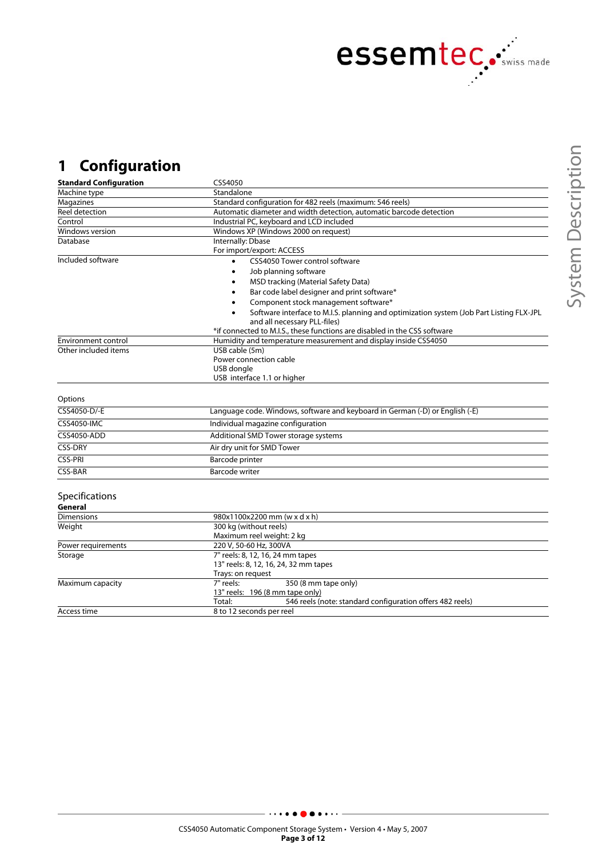

## **1 Configuration**

| <b>Standard Configuration</b> | CSS4050                                                                                 |  |
|-------------------------------|-----------------------------------------------------------------------------------------|--|
| Machine type                  | Standalone                                                                              |  |
| Magazines                     | Standard configuration for 482 reels (maximum: 546 reels)                               |  |
| Reel detection                | Automatic diameter and width detection, automatic barcode detection                     |  |
| Control                       | Industrial PC, keyboard and LCD included                                                |  |
| Windows version               | Windows XP (Windows 2000 on request)                                                    |  |
| Database                      | Internally: Dbase                                                                       |  |
|                               | For import/export: ACCESS                                                               |  |
| Included software             | CSS4050 Tower control software                                                          |  |
|                               | Job planning software                                                                   |  |
|                               | MSD tracking (Material Safety Data)                                                     |  |
|                               | Bar code label designer and print software*                                             |  |
|                               | Component stock management software*                                                    |  |
|                               | Software interface to M.I.S. planning and optimization system (Job Part Listing FLX-JPL |  |
|                               | and all necessary PLL-files)                                                            |  |
|                               | *if connected to M.I.S., these functions are disabled in the CSS software               |  |
| <b>Environment control</b>    | Humidity and temperature measurement and display inside CSS4050                         |  |
| Other included items          | USB cable (5m)                                                                          |  |
|                               | Power connection cable                                                                  |  |
|                               | USB dongle                                                                              |  |
|                               | USB interface 1.1 or higher                                                             |  |
|                               |                                                                                         |  |
| Options                       |                                                                                         |  |
| CSS4050-D/-E                  | Language code. Windows, software and keyboard in German (-D) or English (-E)            |  |
| <b>CSS4050-IMC</b>            | Individual magazine configuration                                                       |  |
| <b>CSS4050-ADD</b>            | Additional SMD Tower storage systems                                                    |  |
| <b>CSS-DRY</b>                | Air dry unit for SMD Tower                                                              |  |
| <b>CSS-PRI</b>                | Barcode printer                                                                         |  |
| <b>CSS-BAR</b>                | <b>Barcode writer</b>                                                                   |  |
|                               |                                                                                         |  |
| Specifications                |                                                                                         |  |
| General                       |                                                                                         |  |
| <b>Dimensions</b>             | 980x1100x2200 mm (w x d x h)                                                            |  |
| Weight                        | 300 kg (without reels)                                                                  |  |
|                               | Maximum reel weight: 2 kg                                                               |  |
| Power requirements            | 220 V, 50-60 Hz, 300VA                                                                  |  |
| Storage                       | 7" reels: 8, 12, 16, 24 mm tapes                                                        |  |
|                               | 13" reels: 8, 12, 16, 24, 32 mm tapes                                                   |  |
|                               | Trays: on request                                                                       |  |
| Maximum capacity              | 7" reels:<br>350 (8 mm tape only)                                                       |  |
|                               | 13" reels: 196 (8 mm tape only)                                                         |  |
|                               | 546 reels (note: standard configuration offers 482 reels)<br>Total:                     |  |
| Access time                   | 8 to 12 seconds per reel                                                                |  |

 $\ddot{\phantom{0}}$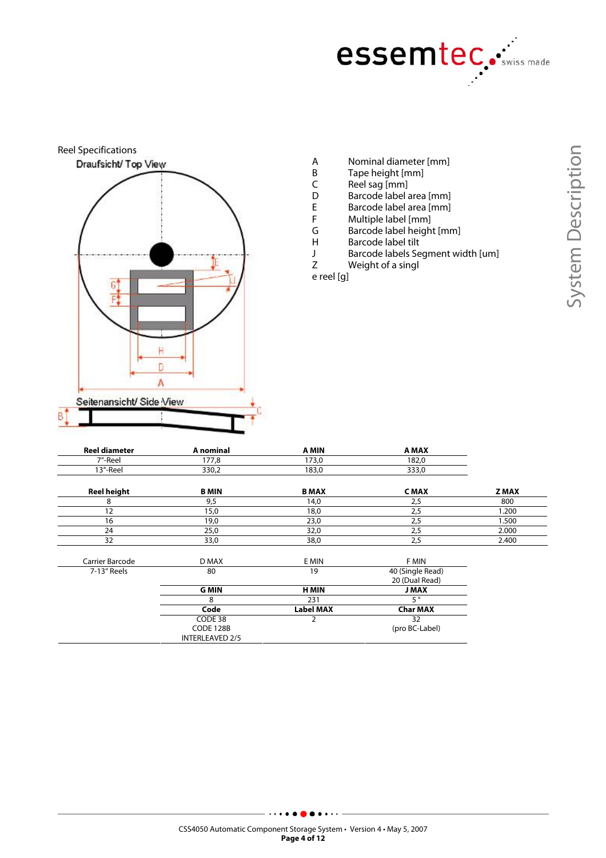



- A Nominal diameter [mm]<br>B Tape height [mm]
- B Tape height [mm]<br>C Reel sag [mm]
- C Reel sag [mm]<br>D Barcode label a
- D Barcode label area [mm]<br>E Barcode label area [mm]
- E Barcode label area [mm]<br>F Multiple label [mm]
- F Multiple label [mm]<br>G Barcode label heigh
- G Barcode label height [mm]<br>H Barcode label tilt
- H Barcode label tilt<br>J Barcode labels Se
- J Barcode labels Segment width [um]<br>Z Weight of a singl Weight of a singl

e reel [g]

| <b>Reel diameter</b> | A nominal              | A MIN            | A MAX                              |             |
|----------------------|------------------------|------------------|------------------------------------|-------------|
| 7"-Reel              | 177,8                  | 173,0            | 182,0                              |             |
| 13"-Reel             | 330,2                  | 183,0            | 333,0                              |             |
| <b>Reel height</b>   | <b>B MIN</b>           | <b>B MAX</b>     | <b>CMAX</b>                        | <b>ZMAX</b> |
| 8                    | 9,5                    | 14,0             | 2,5                                | 800         |
| 12                   | 15,0                   | 18,0             | 2,5                                | 1.200       |
| 16                   | 19,0                   | 23,0             | 2,5                                | 1.500       |
| 24                   | 25,0                   | 32,0             | 2,5                                | 2.000       |
| 32                   | 33,0                   | 38,0             | 2,5                                | 2.400       |
| Carrier Barcode      | D MAX                  | E MIN            | F MIN                              |             |
| 7-13" Reels          | 80                     | 19               | 40 (Single Read)<br>20 (Dual Read) |             |
|                      | <b>G MIN</b>           | <b>H MIN</b>     | <b>J MAX</b>                       |             |
|                      | 8                      | 231              | 50                                 |             |
|                      | Code                   | <b>Label MAX</b> | <b>Char MAX</b>                    |             |
|                      | CODE 38                |                  | 32                                 |             |
|                      | CODE 128B              |                  | (pro BC-Label)                     |             |
|                      | <b>INTERLEAVED 2/5</b> |                  |                                    |             |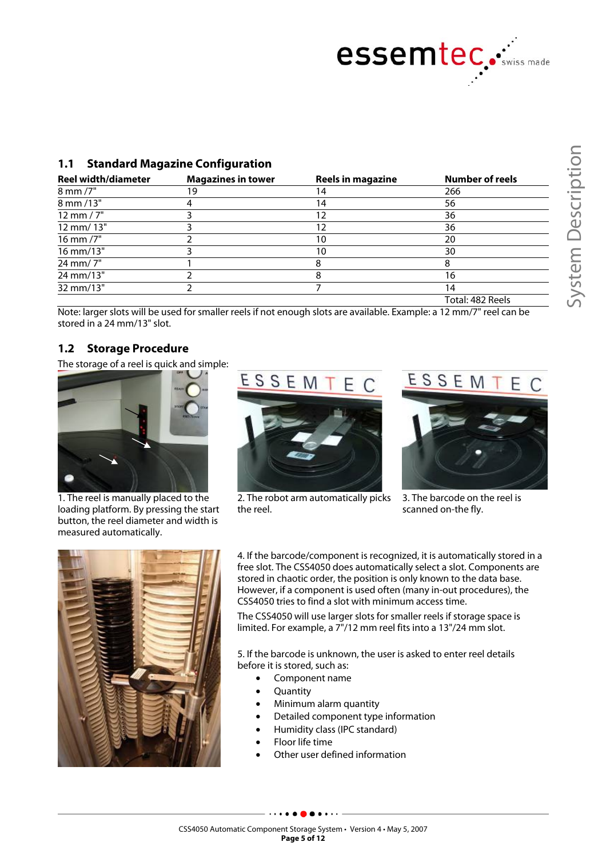

#### **1.1 Standard Magazine Configuration**

| <b>Reel width/diameter</b> | <b>Magazines in tower</b> | <b>Reels in magazine</b> | <b>Number of reels</b> |
|----------------------------|---------------------------|--------------------------|------------------------|
| 8 mm /7"                   | 19                        | 14                       | 266                    |
| 8 mm /13"                  |                           | 4                        | 56                     |
| $12 \, \text{mm} / 7$ "    |                           | 12                       | 36                     |
| 12 mm/ 13"                 |                           | 2                        | 36                     |
| 16 mm /7"                  |                           | 10                       | 20                     |
| 16 mm/13"                  |                           | 10                       | 30                     |
| 24 mm/7"                   |                           | 8                        |                        |
| 24 mm/13"                  |                           | ਨ                        | 16                     |
| 32 mm/13"                  |                           |                          | 14                     |
|                            |                           |                          | Total: 482 Reels       |

Note: larger slots will be used for smaller reels if not enough slots are available. Example: a 12 mm/7" reel can be stored in a 24 mm/13" slot.

#### **1.2 Storage Procedure**

The storage of a reel is quick and simple:



1. The reel is manually placed to the loading platform. By pressing the start button, the reel diameter and width is measured automatically.



2. The robot arm automatically picks the reel.



3. The barcode on the reel is scanned on-the fly.



4. If the barcode/component is recognized, it is automatically stored in a free slot. The CSS4050 does automatically select a slot. Components are stored in chaotic order, the position is only known to the data base. However, if a component is used often (many in-out procedures), the CSS4050 tries to find a slot with minimum access time.

The CSS4050 will use larger slots for smaller reels if storage space is limited. For example, a 7"/12 mm reel fits into a 13"/24 mm slot.

5. If the barcode is unknown, the user is asked to enter reel details before it is stored, such as:

- Component name
- **Quantity**
- Minimum alarm quantity
- Detailed component type information
- Humidity class (IPC standard)
- Floor life time
- Other user defined information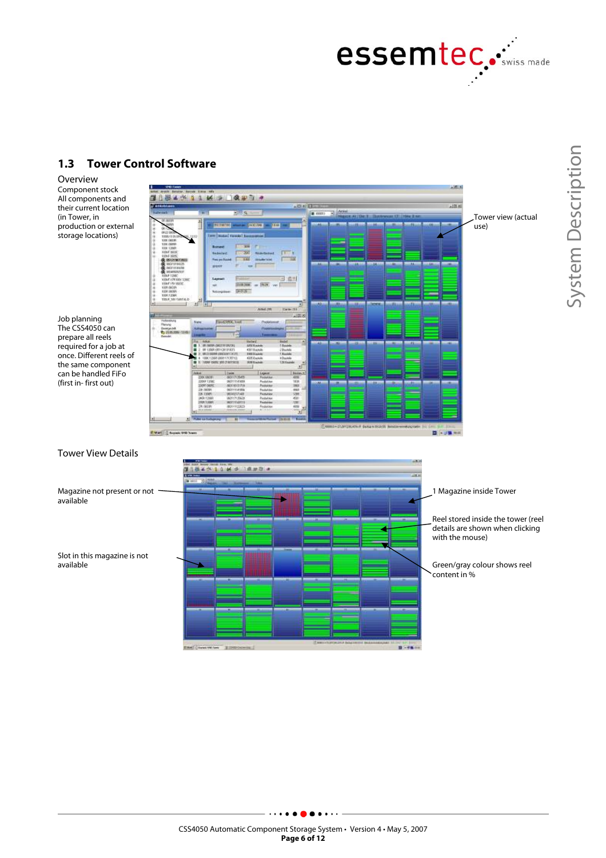

#### **1.3 Tower Control Software**

Overview Component stock All components and their current location (in Tower, in production or external storage locations)

Job planning The CSS4050 can prepare all reels required for a job at once. Different reels of the same component can be handled FiFo (first in- first out)



Tower View Details

Magazine not present or not available

Slot in this magazine is not available

# <u>hirinza</u> 14.93  $-$  1987 and 1973 meet (i) in  $8 - 68$

1 Magazine inside Tower

Reel stored inside the tower (reel details are shown when clicking with the mouse)

Green/gray colour shows reel content in %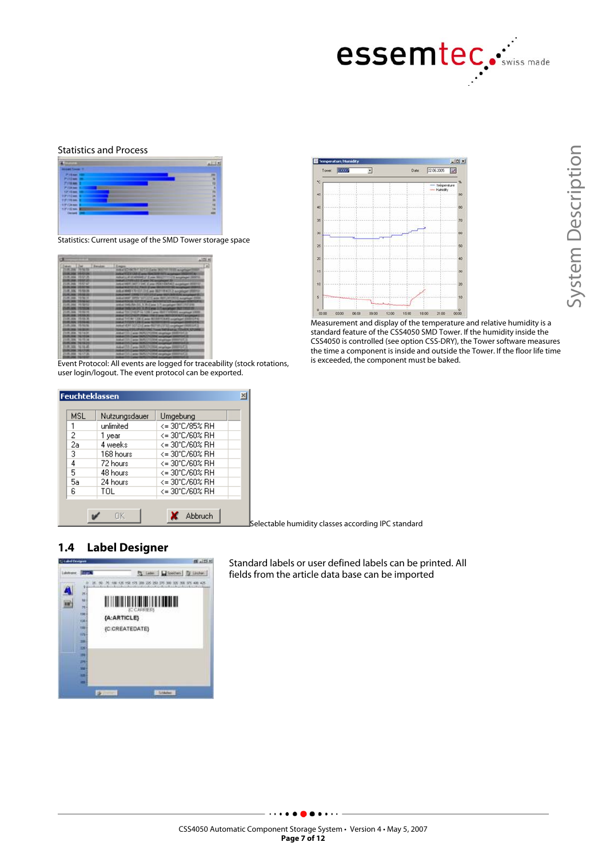

#### Statistics and Process



Statistics: Current usage of the SMD Tower storage space

| mer libe                                               | <b>Bandon</b> | Logic Control of Land Land McColl William Prophet<br><b>AN ART ET LES CANAL SUR DISTRICT A</b>                                                                                                                                 |  |
|--------------------------------------------------------|---------------|--------------------------------------------------------------------------------------------------------------------------------------------------------------------------------------------------------------------------------|--|
| 1.8.356 H-U.S.                                         |               | Adduct LLAT & MROWELLY Ellions 1930 27711 1213 accumulated (SDSTA)                                                                                                                                                             |  |
| -----                                                  |               | And all 17 total 1717 Canada for particular 23 11                                                                                                                                                                              |  |
| LIKE MALL PARTIES.                                     |               | ANLISTER SET 2 DK, E and PEK FEK ALL AUGUST RESERV-                                                                                                                                                                            |  |
| <b><i><u>STARTMENT</u> SERVICE</i></b>                 |               | <b>NAME OF REPORT OF A PARTIES OF PERSONS ASSESSED.</b>                                                                                                                                                                        |  |
| <b>MUSE FERENT</b>                                     |               | AND AT REAL PROPERTY AND INTERNATIONAL CONTINUES.                                                                                                                                                                              |  |
| ---------                                              |               | SURVEYED AND CONTROL TO SUPERVISO COMPANY INTO A REPORT OF A STATE OF A REPORT OF A REPORT OF A REPORT OF A REPORT OF A REPORT OF A REPORT OF A REPORT OF A REPORT OF A REPORT OF A REPORT OF A REPORT OF A REPORT OF A REPORT |  |
| LAR AND FRIDAY                                         |               | Ankalomer SPIN VAT 2215 area 0601/M12022 Angelage 2008                                                                                                                                                                         |  |
| <b><i>CHECK THE SERVICE</i></b>                        |               | SAN ARROUND TO THE ANN DISTURBANCE AUTOMATION DESCRIPTION                                                                                                                                                                      |  |
| <b>HUMA HIGH</b>                                       |               | ANNAE TRASLATA COL. TLAN E gran 1-7, an capitages takes criter price                                                                                                                                                           |  |
| LOS JON 1970 FOR                                       |               | ANNA TROLLA 2011 TUTLERA SITUACIÓNES MOTORESO                                                                                                                                                                                  |  |
| 1.00 MM 10102                                          |               | ANNI TOCOMUNICATE COM Carer WAT FORDERS exceptioned \$330.                                                                                                                                                                     |  |
| <b>MITH STATE</b>                                      |               | <b>THING THE TIME IS AN IMPORTANT OF A POWDAY</b>                                                                                                                                                                              |  |
| THRUSH FRAME                                           |               | AWAY THE BY LEW II, aver RESERT EART available STEELLER.                                                                                                                                                                       |  |
| <b>JA AVA PRAISE</b>                                   |               | <b>ANGEL TO CAR TEN STAND ROTATIONS</b>                                                                                                                                                                                        |  |
| <b>MONEY TRANSAL</b>                                   |               | Add-of VERT 1027-23 E. policy FRET 197-237-322 competitioned ERERCLIATES                                                                                                                                                       |  |
|                                                        |               | College and ST ST LTP AND HOME Trainer TWO SLAVING TO GARDE AT UNLINE                                                                                                                                                          |  |
| <b>HORACE TRITIANS</b>                                 |               | ANNETS Care INFORMER engine STEP-UCL                                                                                                                                                                                           |  |
| <b><i>MARK FRANCHER</i></b><br><b>R. 206, 16 FR 16</b> |               | <b><i>Charles and Mary Houses</i></b><br>AAA ug FAN 17 waa 1805                                                                                                                                                                |  |
| <b>PLOTE TEST</b>                                      |               | AMM [31] Large SUN/VISAX religious (III<br>AND AT THE CARDS TRUSTANT RESIDENCE.                                                                                                                                                |  |
| <b>MINE ACTUAL</b>                                     |               |                                                                                                                                                                                                                                |  |
|                                                        |               | And all \$1.0 miles (MACA COM), employee (MACA CA)<br>and and this company countries to the management of                                                                                                                      |  |
| <b>SUM 2006 FALLS AT</b>                               |               | Arthur 121 Lares (AUTO) 120 E Angelega (COSTAT)                                                                                                                                                                                |  |
|                                                        |               |                                                                                                                                                                                                                                |  |
|                                                        |               |                                                                                                                                                                                                                                |  |

Event Protocol: All events are logged for traceability (stock rotations, user login/logout. The event protocol can be exported.

| MSL | Nutzungsdauer | Umgebung       |
|-----|---------------|----------------|
|     | unlimited     | <= 30°C/85% RH |
| 2   | 1 year        | <= 30°C/60% RH |
| 2a  | 4 weeks       | <= 30°C/60% RH |
| 3   | 168 hours     | <= 30°C/60% RH |
| 4   | 72 hours      | <= 30°C/60% RH |
| 5   | 48 hours      | <= 30°C/60% RH |
| 5a  | 24 hours      | <= 30°C/60% RH |
| в   | TOL           | <= 30°C/60% RH |

 $|D| \times$ 22.06.2005  $\overline{\mathbf{v}}$ Date 啊 40 ×  $\frac{1}{20}$ 25  $\infty$ ..  $10$ 

System Description System Description

 $\frac{1}{2}$  and  $\frac{1}{2}$  and  $\frac{1}{2}$  and  $\frac{1}{2}$  and  $\frac{1}{2}$  and  $\frac{1}{2}$  and  $\frac{1}{2}$  and relative humidity is a standard feature of the CSS4050 SMD Tower. If the humidity inside the CSS4050 is controlled (see option CSS-DRY), the Tower software measures the time a component is inside and outside the Tower. If the floor life time is exceeded, the component must be baked.

Selectable humidity classes according IPC standard

#### **1.4 Label Designer**



Standard labels or user defined labels can be printed. All fields from the article data base can be imported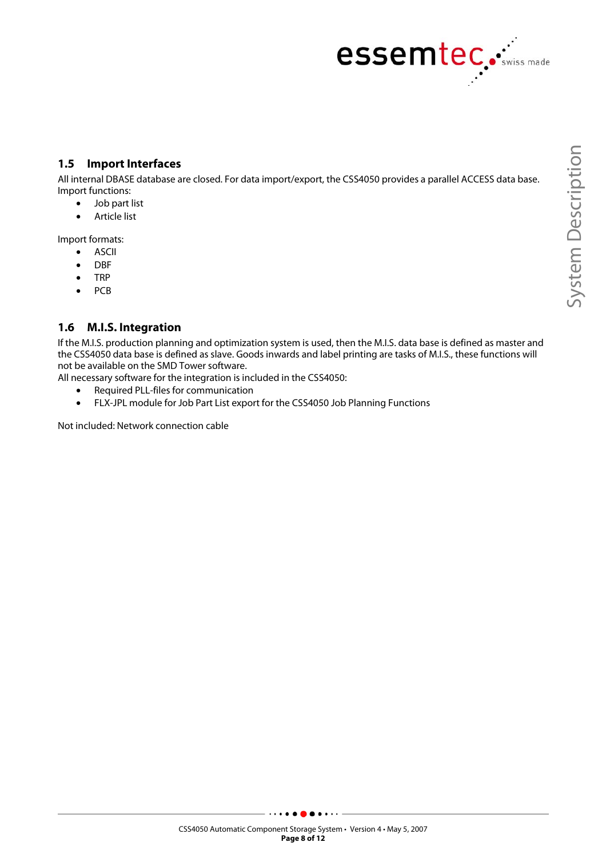

#### **1.5 Import Interfaces**

All internal DBASE database are closed. For data import/export, the CSS4050 provides a parallel ACCESS data base. Import functions:

- Job part list
- Article list

Import formats:

- ASCII
- DBF
- TRP
- PCB

#### **1.6 M.I.S. Integration**

If the M.I.S. production planning and optimization system is used, then the M.I.S. data base is defined as master and the CSS4050 data base is defined as slave. Goods inwards and label printing are tasks of M.I.S., these functions will not be available on the SMD Tower software.

- All necessary software for the integration is included in the CSS4050:
	- Required PLL-files for communication
	- FLX-JPL module for Job Part List export for the CSS4050 Job Planning Functions

Not included: Network connection cable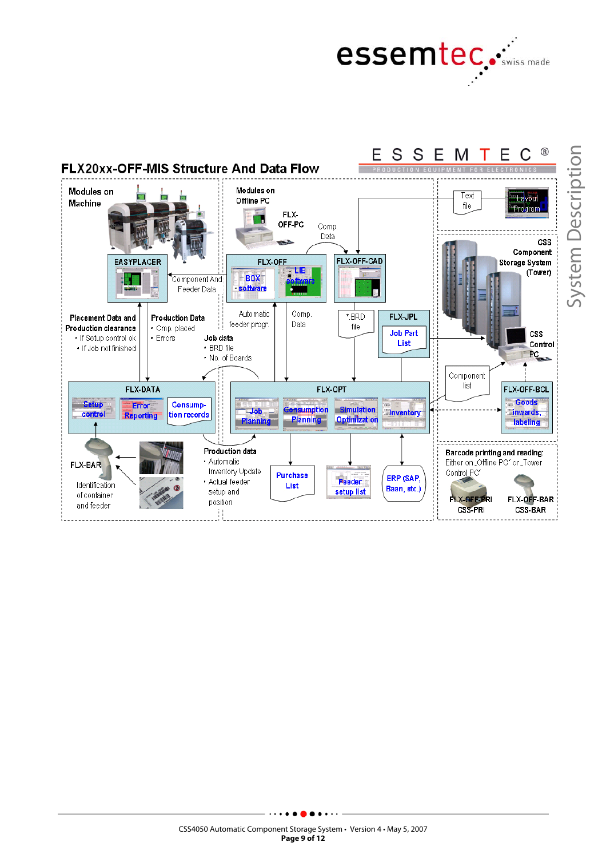



CSS4050 Automatic Component Storage System • Version 4 • May 5, 2007 **Page 9 of 12**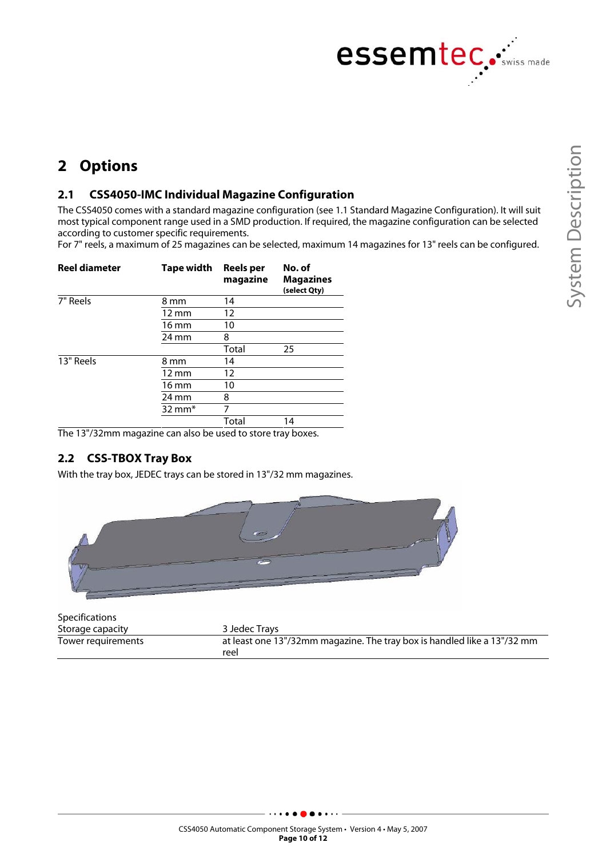

### **2 Options**

#### **2.1 CSS4050-IMC Individual Magazine Configuration**

The CSS4050 comes with a standard magazine configuration (see 1.1 Standard Magazine Configuration). It will suit most typical component range used in a SMD production. If required, the magazine configuration can be selected according to customer specific requirements.

For 7" reels, a maximum of 25 magazines can be selected, maximum 14 magazines for 13" reels can be configured.

| Reel diameter | Tape width        | Reels per<br>magazine | No. of<br><b>Magazines</b><br>(select Qty) |
|---------------|-------------------|-----------------------|--------------------------------------------|
| 7" Reels      | 8 mm              | 14                    |                                            |
|               | $12 \text{ mm}$   | 12                    |                                            |
|               | $16 \text{ mm}$   | 10                    |                                            |
|               | $24 \text{ mm}$   | 8                     |                                            |
|               |                   | Total                 | 25                                         |
| 13" Reels     | 8 mm              | 14                    |                                            |
|               | $12 \text{ mm}$   | 12                    |                                            |
|               | 16 mm             | 10                    |                                            |
|               | 24 mm             | 8                     |                                            |
|               | $32 \text{ mm}^*$ | 7                     |                                            |
|               |                   | Total                 | 14                                         |

The 13"/32mm magazine can also be used to store tray boxes.

#### **2.2 CSS-TBOX Tray Box**

With the tray box, JEDEC trays can be stored in 13"/32 mm magazines.



| <b>Specifications</b> |                                                                                  |
|-----------------------|----------------------------------------------------------------------------------|
| Storage capacity      | 3 Jedec Travs                                                                    |
| Tower requirements    | at least one 13"/32mm magazine. The tray box is handled like a 13"/32 mm<br>reel |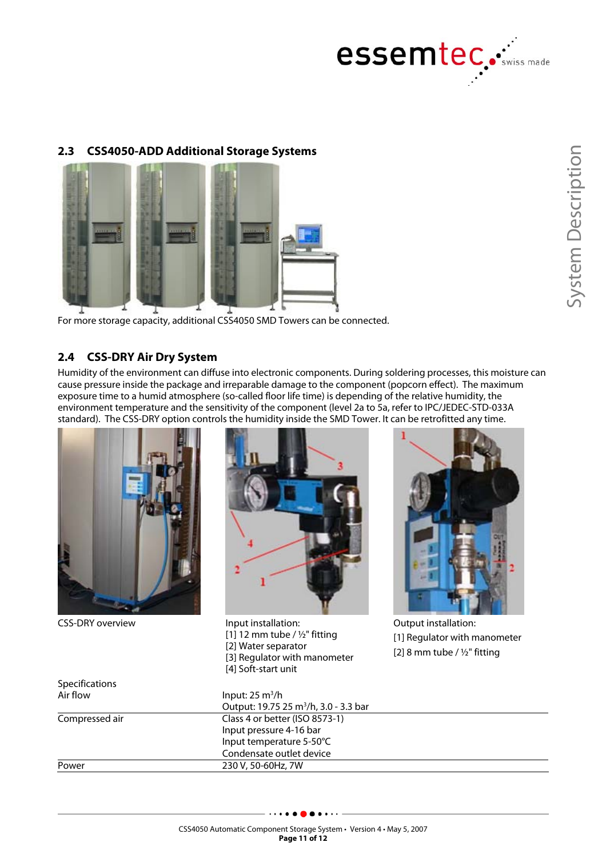

#### **2.3 CSS4050-ADD Additional Storage Systems**



For more storage capacity, additional CSS4050 SMD Towers can be connected.

#### **2.4 CSS-DRY Air Dry System**

Humidity of the environment can diffuse into electronic components. During soldering processes, this moisture can cause pressure inside the package and irreparable damage to the component (popcorn effect). The maximum exposure time to a humid atmosphere (so-called floor life time) is depending of the relative humidity, the environment temperature and the sensitivity of the component (level 2a to 5a, refer to IPC/JEDEC-STD-033A standard). The CSS-DRY option controls the humidity inside the SMD Tower. It can be retrofitted any time.



CSS-DRY overview Input installation:



 $[1]$  12 mm tube / ½" fitting [2] Water separator [3] Regulator with manometer [4] Soft-start unit



Output installation: [1] Regulator with manometer [2] 8 mm tube /  $1/2$ " fitting

| Input: $25 \text{ m}^3/\text{h}$                  |
|---------------------------------------------------|
| Output: 19.75 25 m <sup>3</sup> /h, 3.0 - 3.3 bar |
| Class 4 or better (ISO 8573-1)                    |
| Input pressure 4-16 bar                           |
| Input temperature 5-50°C                          |
| Condensate outlet device                          |
| 230 V, 50-60Hz, 7W                                |
|                                                   |